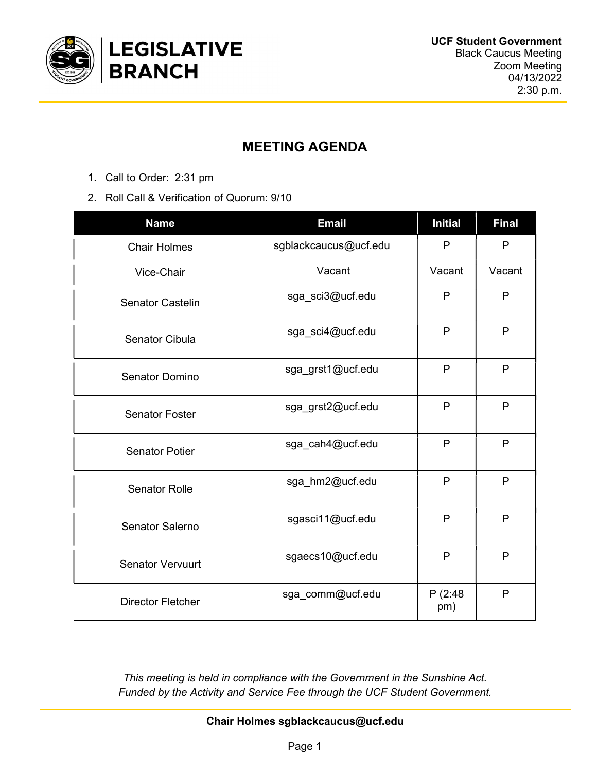

# MEETING AGENDA

- 1. Call to Order: 2:31 pm
- 2. Roll Call & Verification of Quorum: 9/10

| <b>Name</b>              | <b>Email</b>          | <b>Initial</b> | <b>Final</b> |
|--------------------------|-----------------------|----------------|--------------|
| <b>Chair Holmes</b>      | sgblackcaucus@ucf.edu | P              | $\mathsf{P}$ |
| Vice-Chair               | Vacant                | Vacant         | Vacant       |
| <b>Senator Castelin</b>  | sga_sci3@ucf.edu      | $\mathsf{P}$   | P            |
| <b>Senator Cibula</b>    | sga sci4@ucf.edu      | P              | $\mathsf{P}$ |
| <b>Senator Domino</b>    | sga_grst1@ucf.edu     | P              | $\mathsf{P}$ |
| <b>Senator Foster</b>    | sga_grst2@ucf.edu     | P              | P            |
| <b>Senator Potier</b>    | sga cah4@ucf.edu      | P              | P            |
| <b>Senator Rolle</b>     | sga hm2@ucf.edu       | $\mathsf{P}$   | P            |
| Senator Salerno          | sgasci11@ucf.edu      | $\mathsf{P}$   | $\mathsf{P}$ |
| <b>Senator Vervuurt</b>  | sgaecs10@ucf.edu      | P              | P            |
| <b>Director Fletcher</b> | sga_comm@ucf.edu      | P(2:48)<br>pm) | P            |

This meeting is held in compliance with the Government in the Sunshine Act. Funded by the Activity and Service Fee through the UCF Student Government.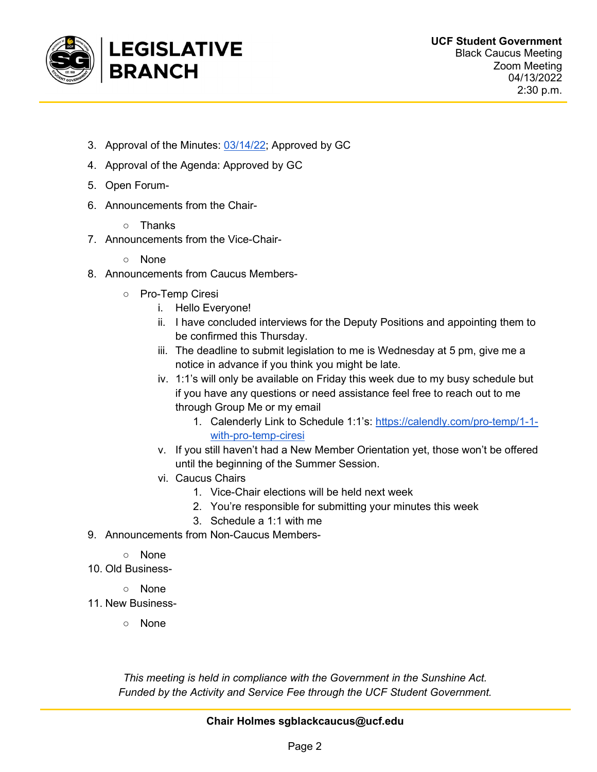

- 3. Approval of the Minutes: 03/14/22; Approved by GC
- 4. Approval of the Agenda: Approved by GC
- 5. Open Forum-
- 6. Announcements from the Chair-
	- Thanks
- 7. Announcements from the Vice-Chair-
	- None
- 8. Announcements from Caucus Members-
	- Pro-Temp Ciresi
		- i. Hello Everyone!
		- ii. I have concluded interviews for the Deputy Positions and appointing them to be confirmed this Thursday.
		- iii. The deadline to submit legislation to me is Wednesday at 5 pm, give me a notice in advance if you think you might be late.
		- iv. 1:1's will only be available on Friday this week due to my busy schedule but if you have any questions or need assistance feel free to reach out to me through Group Me or my email
			- 1. Calenderly Link to Schedule 1:1's: https://calendly.com/pro-temp/1-1 with-pro-temp-ciresi
		- v. If you still haven't had a New Member Orientation yet, those won't be offered until the beginning of the Summer Session.
		- vi. Caucus Chairs
			- 1. Vice-Chair elections will be held next week
			- 2. You're responsible for submitting your minutes this week
			- 3. Schedule a 1:1 with me
- 9. Announcements from Non-Caucus Members-
	- None
- 10. Old Business-
	- None
- 11. New Business-
	- None

This meeting is held in compliance with the Government in the Sunshine Act. Funded by the Activity and Service Fee through the UCF Student Government.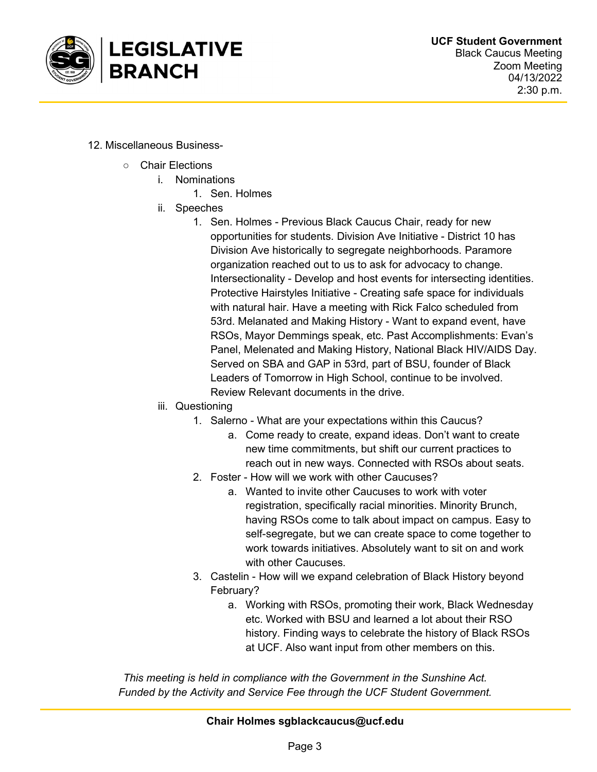

- 12. Miscellaneous Business-
	- Chair Elections
		- i. Nominations
			- 1. Sen. Holmes
		- ii. Speeches
			- 1. Sen. Holmes Previous Black Caucus Chair, ready for new opportunities for students. Division Ave Initiative - District 10 has Division Ave historically to segregate neighborhoods. Paramore organization reached out to us to ask for advocacy to change. Intersectionality - Develop and host events for intersecting identities. Protective Hairstyles Initiative - Creating safe space for individuals with natural hair. Have a meeting with Rick Falco scheduled from 53rd. Melanated and Making History - Want to expand event, have RSOs, Mayor Demmings speak, etc. Past Accomplishments: Evan's Panel, Melenated and Making History, National Black HIV/AIDS Day. Served on SBA and GAP in 53rd, part of BSU, founder of Black Leaders of Tomorrow in High School, continue to be involved. Review Relevant documents in the drive.
		- iii. Questioning
			- 1. Salerno What are your expectations within this Caucus?
				- a. Come ready to create, expand ideas. Don't want to create new time commitments, but shift our current practices to reach out in new ways. Connected with RSOs about seats.
			- 2. Foster How will we work with other Caucuses?
				- a. Wanted to invite other Caucuses to work with voter registration, specifically racial minorities. Minority Brunch, having RSOs come to talk about impact on campus. Easy to self-segregate, but we can create space to come together to work towards initiatives. Absolutely want to sit on and work with other Caucuses.
			- 3. Castelin How will we expand celebration of Black History beyond February?
				- a. Working with RSOs, promoting their work, Black Wednesday etc. Worked with BSU and learned a lot about their RSO history. Finding ways to celebrate the history of Black RSOs at UCF. Also want input from other members on this.

This meeting is held in compliance with the Government in the Sunshine Act. Funded by the Activity and Service Fee through the UCF Student Government.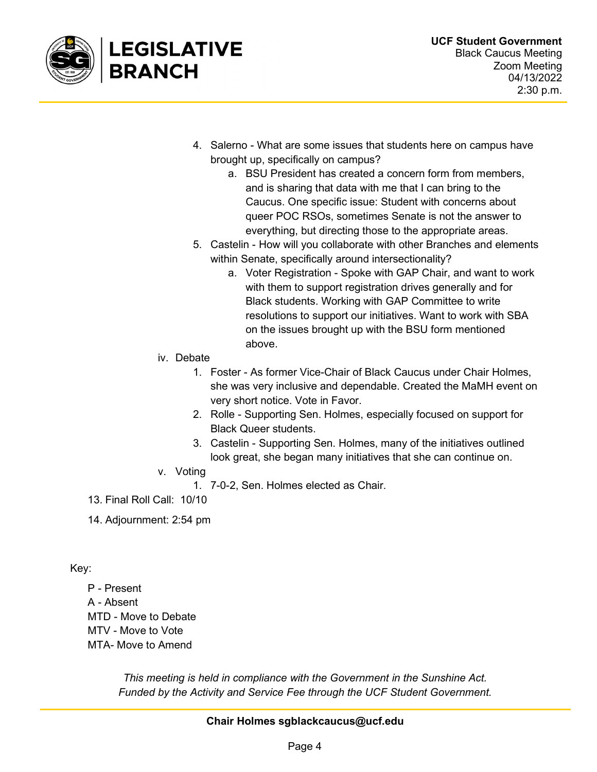

- 4. Salerno What are some issues that students here on campus have brought up, specifically on campus?
	- a. BSU President has created a concern form from members, and is sharing that data with me that I can bring to the Caucus. One specific issue: Student with concerns about queer POC RSOs, sometimes Senate is not the answer to everything, but directing those to the appropriate areas.
- 5. Castelin How will you collaborate with other Branches and elements within Senate, specifically around intersectionality?
	- a. Voter Registration Spoke with GAP Chair, and want to work with them to support registration drives generally and for Black students. Working with GAP Committee to write resolutions to support our initiatives. Want to work with SBA on the issues brought up with the BSU form mentioned above.
- iv. Debate
	- 1. Foster As former Vice-Chair of Black Caucus under Chair Holmes, she was very inclusive and dependable. Created the MaMH event on very short notice. Vote in Favor.
	- 2. Rolle Supporting Sen. Holmes, especially focused on support for Black Queer students.
	- 3. Castelin Supporting Sen. Holmes, many of the initiatives outlined look great, she began many initiatives that she can continue on.
- v. Voting
	- 1. 7-0-2, Sen. Holmes elected as Chair.
- 13. Final Roll Call: 10/10
- 14. Adjournment: 2:54 pm

Key:

P - Present A - Absent MTD - Move to Debate MTV - Move to Vote MTA- Move to Amend

> This meeting is held in compliance with the Government in the Sunshine Act. Funded by the Activity and Service Fee through the UCF Student Government.